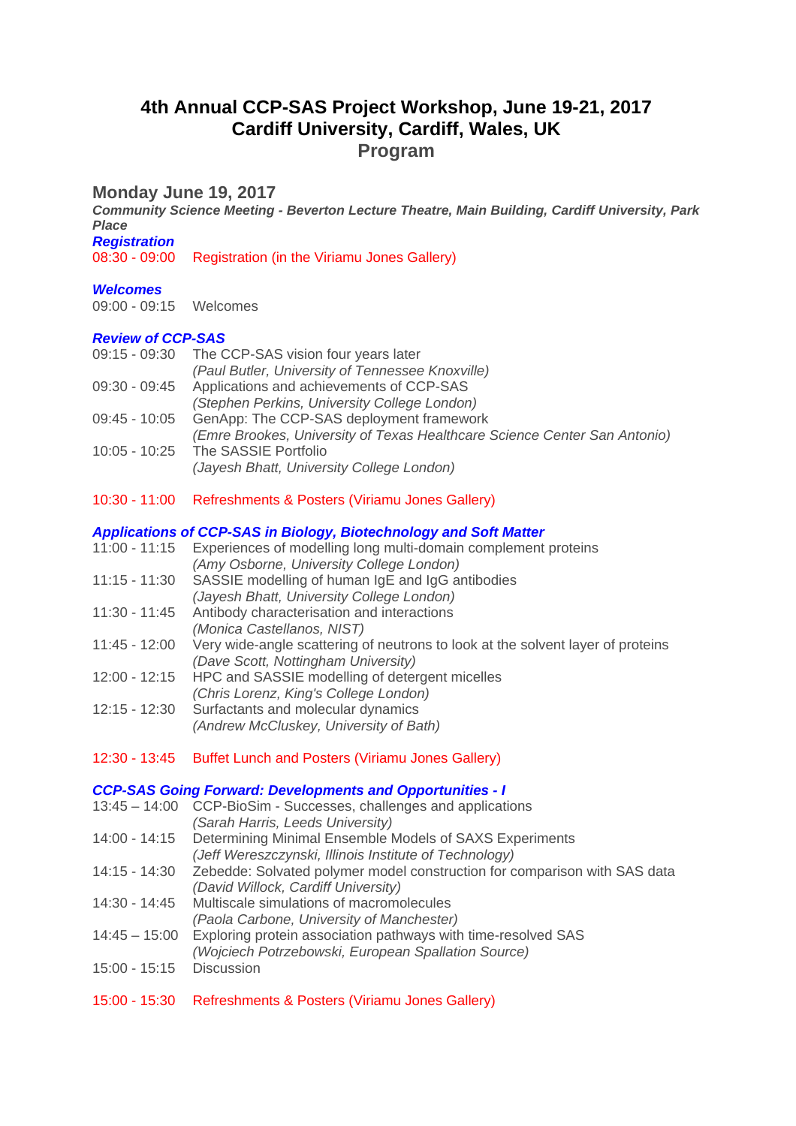# **4th Annual CCP-SAS Project Workshop, June 19-21, 2017 Cardiff University, Cardiff, Wales, UK Program**

# **Monday June 19, 2017**

*Community Science Meeting - Beverton Lecture Theatre, Main Building, Cardiff University, Park Place Registration*

08:30 - 09:00 Registration (in the Viriamu Jones Gallery)

## *Welcomes*

09:00 - 09:15 Welcomes

### *Review of CCP-SAS*

- 09:15 09:30 The CCP-SAS vision four years later
- *(Paul Butler, University of Tennessee Knoxville)*
- 09:30 09:45 Applications and achievements of CCP-SAS
- *(Stephen Perkins, University College London)*
- 09:45 10:05 GenApp: The CCP-SAS deployment framework
- *(Emre Brookes, University of Texas Healthcare Science Center San Antonio)* 10:05 - 10:25 The SASSIE Portfolio
	- *(Jayesh Bhatt, University College London)*
- 10:30 11:00 Refreshments & Posters (Viriamu Jones Gallery)

### *Applications of CCP-SAS in Biology, Biotechnology and Soft Matter*

- 11:00 11:15 Experiences of modelling long multi-domain complement proteins *(Amy Osborne, University College London)*
- 11:15 11:30 SASSIE modelling of human IgE and IgG antibodies *(Jayesh Bhatt, University College London)*
- 11:30 11:45 Antibody characterisation and interactions *(Monica Castellanos, NIST)*
- 11:45 12:00 Very wide-angle scattering of neutrons to look at the solvent layer of proteins *(Dave Scott, Nottingham University)*
- 12:00 12:15 HPC and SASSIE modelling of detergent micelles *(Chris Lorenz, King's College London)*
- 12:15 12:30 Surfactants and molecular dynamics *(Andrew McCluskey, University of Bath)*
- 12:30 13:45 Buffet Lunch and Posters (Viriamu Jones Gallery)

#### *CCP-SAS Going Forward: Developments and Opportunities - I*

- 13:45 14:00 CCP-BioSim Successes, challenges and applications
	- *(Sarah Harris, Leeds University)*
- 14:00 14:15 Determining Minimal Ensemble Models of SAXS Experiments *(Jeff Wereszczynski, Illinois Institute of Technology)*
- 14:15 14:30 Zebedde: Solvated polymer model construction for comparison with SAS data
- *(David Willock, Cardiff University)*
- 14:30 14:45 Multiscale simulations of macromolecules *(Paola Carbone, University of Manchester)*
- 14:45 15:00 Exploring protein association pathways with time-resolved SAS
	- *(Wojciech Potrzebowski, European Spallation Source)*
- 15:00 15:15 Discussion
- 15:00 15:30 Refreshments & Posters (Viriamu Jones Gallery)